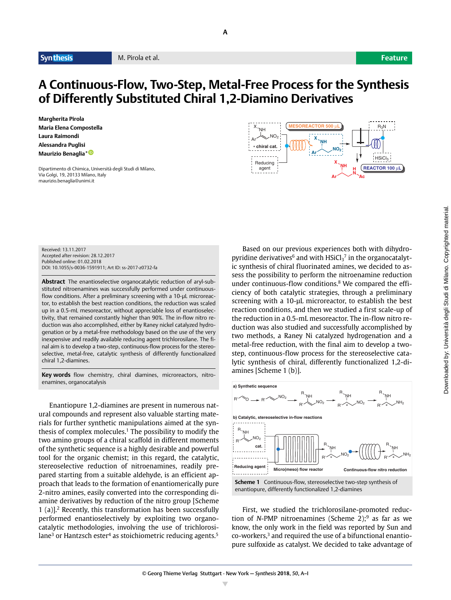## **A Continuous-Flow, Two-Step, Metal-Free Process for the Synthesis of Differently Substituted Chiral 1,2-Diamino Derivatives**

**A**

**Margherita Pirola Maria Elena Compostella Laura Raimondi Alessandra Puglisi Maurizio Benaglia[\\*](http://orcid.org/0000-0002-9568-9642) 0-29-5689-642**

Dipartimento di Chimica, Università degli Studi di Milano, Via Golgi, 19, 20133 Milano, Italy maurizio.benaglia@unimi.it



Received: 13.11.2017 Accepted after revision: 28.12.2017 Published online: 01.02.2018 DOI: 10.1055/s-0036-1591911; Art ID: ss-2017-z0732-fa

**Abstract** The enantioselective organocatalytic reduction of aryl-substituted nitroenamines was successfully performed under continuousflow conditions. After a preliminary screening with a 10-μL microreactor, to establish the best reaction conditions, the reduction was scaled up in a 0.5-mL mesoreactor, without appreciable loss of enantioselectivity, that remained constantly higher than 90%. The in-flow nitro reduction was also accomplished, either by Raney nickel catalyzed hydrogenation or by a metal-free methodology based on the use of the very inexpensive and readily available reducing agent trichlorosilane. The final aim is to develop a two-step, continuous-flow process for the stereoselective, metal-free, catalytic synthesis of differently functionalized chiral 1,2-diamines.

**Key words** flow chemistry, chiral diamines, microreactors, nitroenamines, organocatalysis

Enantiopure 1,2-diamines are present in numerous natural compounds and represent also valuable starting materials for further synthetic manipulations aimed at the synthesis of complex molecules.<sup>1</sup> The possibility to modify the two amino groups of a chiral scaffold in different moments of the synthetic sequence is a highly desirable and powerful tool for the organic chemist; in this regard, the catalytic, stereoselective reduction of nitroenamines, readily prepared starting from a suitable aldehyde, is an efficient approach that leads to the formation of enantiomerically pure 2-nitro amines, easily converted into the corresponding diamine derivatives by reduction of the nitro group [Scheme 1 (a)].2 Recently, this transformation has been successfully performed enantioselectively by exploiting two organocatalytic methodologies, involving the use of trichlorosilane<sup>3</sup> or Hantzsch ester<sup>4</sup> as stoichiometric reducing agents.<sup>5</sup>

Downloaded by: Università degli Studi di Milano. Copyrighted material. Downloaded by: Università degli Studi di Milano. Copyrighted material.

Based on our previous experiences both with dihydropyridine derivatives $^6$  and with HSiCl $_3{}^7$  in the organocatalytic synthesis of chiral fluorinated amines, we decided to assess the possibility to perform the nitroenamine reduction under continuous-flow conditions.8 We compared the efficiency of both catalytic strategies, through a preliminary screening with a 10-μL microreactor, to establish the best reaction conditions, and then we studied a first scale-up of the reduction in a 0.5-mL mesoreactor. The in-flow nitro reduction was also studied and successfully accomplished by two methods, a Raney Ni catalyzed hydrogenation and a metal-free reduction, with the final aim to develop a twostep, continuous-flow process for the stereoselective catalytic synthesis of chiral, differently functionalized 1,2-diamines [Scheme 1 (b)].



First, we studied the trichlorosilane-promoted reduction of *N*-PMP nitroenamines (Scheme 2);<sup>9</sup> as far as we know, the only work in the field was reported by Sun and co-workers,<sup>3</sup> and required the use of a bifunctional enantiopure sulfoxide as catalyst. We decided to take advantage of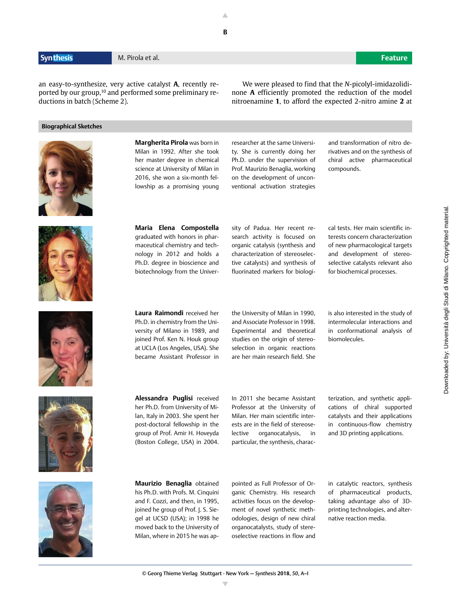an easy-to-synthesize, very active catalyst **A**, recently reported by our group,<sup>10</sup> and performed some preliminary reductions in batch (Scheme 2).

### **Biographical Sketches**



**Margherita Pirola** was born in Milan in 1992. After she took her master degree in chemical science at University of Milan in 2016, she won a six-month fellowship as a promising young researcher at the same University. She is currently doing her Ph.D. under the supervision of Prof. Maurizio Benaglia, working on the development of unconventional activation strategies

and transformation of nitro derivatives and on the synthesis of chiral active pharmaceutical compounds.

We were pleased to find that the *N*-picolyl-imidazolidinone **A** efficiently promoted the reduction of the model nitroenamine **1**, to afford the expected 2-nitro amine **2** at



**Maria Elena Compostella** graduated with honors in pharmaceutical chemistry and technology in 2012 and holds a Ph.D. degree in bioscience and biotechnology from the University of Padua. Her recent research activity is focused on organic catalysis (synthesis and characterization of stereoselective catalysts) and synthesis of fluorinated markers for biologi-

cal tests. Her main scientific interests concern characterization of new pharmacological targets and development of stereoselective catalysts relevant also for biochemical processes.

**Laura Raimondi** received her Ph.D. in chemistry from the University of Milano in 1989, and joined Prof. Ken N. Houk group at UCLA (Los Angeles, USA). She became Assistant Professor in the University of Milan in 1990, and Associate Professor in 1998. Experimental and theoretical studies on the origin of stereoselection in organic reactions are her main research field. She

is also interested in the study of intermolecular interactions and in conformational analysis of biomolecules.

**Alessandra Puglisi** received her Ph.D. from University of Milan, Italy in 2003. She spent her post-doctoral fellowship in the group of Prof. Amir H. Hoveyda (Boston College, USA) in 2004.

In 2011 she became Assistant Professor at the University of Milan. Her main scientific interests are in the field of stereoselective organocatalysis, in particular, the synthesis, characterization, and synthetic applications of chiral supported catalysts and their applications in continuous-flow chemistry and 3D printing applications.



**Maurizio Benaglia** obtained his Ph.D. with Profs. M. Cinquini and F. Cozzi, and then, in 1995, joined he group of Prof. J. S. Siegel at UCSD (USA); in 1998 he moved back to the University of Milan, where in 2015 he was appointed as Full Professor of Organic Chemistry. His research activities focus on the development of novel synthetic methodologies, design of new chiral organocatalysts, study of stereoselective reactions in flow and

in catalytic reactors, synthesis of pharmaceutical products, taking advantage also of 3Dprinting technologies, and alternative reaction media.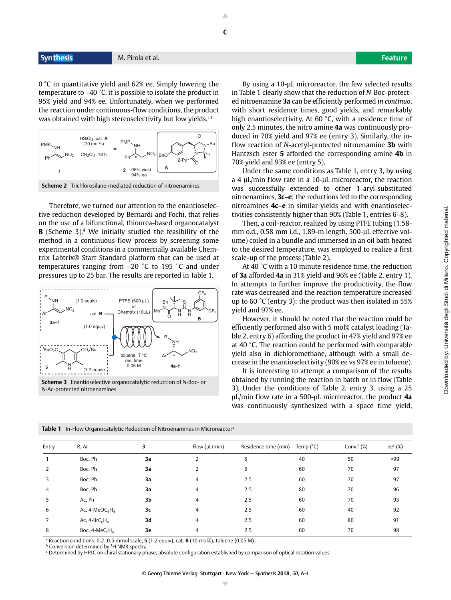0 °C in quantitative yield and 62% ee. Simply lowering the temperature to –40 °C, it is possible to isolate the product in 95% yield and 94% ee. Unfortunately, when we performed the reaction under continuous-flow conditions, the product was obtained with high stereoselectivity but low yields.<sup>11</sup>



Therefore, we turned our attention to the enantioselective reduction developed by Bernardi and Fochi, that relies on the use of a bifunctional, thiourea-based organocatalyst **B** (Scheme 3).<sup>4</sup> We initially studied the feasibility of the method in a continuous-flow process by screening some experimental conditions in a commercially available Chemtrix Labtrix® Start Standard platform that can be used at temperatures ranging from –20 °C to 195 °C and under pressures up to 25 bar. The results are reported in Table 1.



**Scheme 3** Enantioselective organocatalytic reduction of *N*-Boc- or *N*-Ac-protected nitroenamines

By using a 10-μL microreactor, the few selected results in Table 1 clearly show that the reduction of *N*-Boc-protected nitroenamine **3a** can be efficiently performed *in continuo*, with short residence times, good yields, and remarkably high enantioselectivity. At 60 °C, with a residence time of only 2.5 minutes, the nitro amine **4a** was continuously produced in 70% yield and 97% ee (entry 3). Similarly, the inflow reaction of *N*-acetyl-protected nitroenamine **3b** with Hantzsch ester **5** afforded the corresponding amine **4b** in 70% yield and 93% ee (entry 5).

Under the same conditions as Table 1, entry 3, by using a 4 μL/min flow rate in a 10-μL microreactor, the reaction was successfully extended to other 1-aryl-substituted nitroenamines, **3c**–**e**; the reductions led to the corresponding nitroamines **4c**–**e** in similar yields and with enantioselectivities consistently higher than 90% (Table 1, entries 6–8).

Then, a coil-reactor, realized by using PTFE tubing (1.58 mm o.d., 0.58 mm i.d., 1.89-m length, 500-uL effective volume) coiled in a bundle and immersed in an oil bath heated to the desired temperature, was employed to realize a first scale-up of the process (Table 2).

At 40 °C with a 10 minute residence time, the reduction of **3a** afforded **4a** in 31% yield and 96% ee (Table 2, entry 1). In attempts to further improve the productivity, the flow rate was decreased and the reaction temperature increased up to 60 °C (entry 3): the product was then isolated in 55% yield and 97% ee.

However, it should be noted that the reaction could be efficiently performed also with 5 mol% catalyst loading (Table 2, entry 6) affording the product in 47% yield and 97% ee at 40 °C. The reaction could be performed with comparable yield also in dichloromethane, although with a small decrease in the enantioselectivity (90% ee vs 97% ee in toluene).

It is interesting to attempt a comparison of the results obtained by running the reaction in batch or in flow (Table 3). Under the conditions of Table 2, entry 3, using a 25 μL/min flow rate in a 500-μL microreactor, the product **4a** was continuously synthesized with a space time yield,

|  | Table 1 In-Flow Organocatalytic Reduction of Nitroenamines in Microreactor <sup>a</sup> |
|--|-----------------------------------------------------------------------------------------|
|--|-----------------------------------------------------------------------------------------|

| Entry          | R, Ar             | 3  | Flow $(\mu L/min)$ | Residence time (min) | Temp $(^{\circ}C)$ | Conv. $b$ (%) | $ee^c$ (%) |
|----------------|-------------------|----|--------------------|----------------------|--------------------|---------------|------------|
|                | Boc, Ph           | За |                    | 5                    | 40                 | 50            | >99        |
| 2              | Boc, Ph           | За | 2                  | 5                    | 60                 | 70            | 97         |
| 3              | Boc, Ph           | За | $\overline{4}$     | 2.5                  | 60                 | 70            | 97         |
| 4              | Boc, Ph           | За | $\overline{4}$     | 2.5                  | 80                 | 70            | 96         |
| 5.             | Ac, Ph            | 3b | $\overline{4}$     | 2.5                  | 60                 | 70            | 93         |
| 6              | Ac, $4-MeOC6H4$   | 3c | 4                  | 2.5                  | 60                 | 40            | 92         |
| $\overline{7}$ | Ac, $4-BrC_6H_4$  | 3d | 4                  | 2.5                  | 60                 | 80            | 91         |
| 8              | Boc, $4-MeC_6H_4$ | 3e | $\overline{4}$     | 2.5                  | 60                 | 70            | 98         |

a Reaction conditions: 0.2–0.5 mmol scale, **5** (1.2 equiv), cat. **B** (10 mol%), toluene (0.05 M).

**b** Conversion determined by <sup>1</sup>H NMR spectra.

c Determined by HPLC on chiral stationary phase; absolute configuration established by comparison of optical rotation values.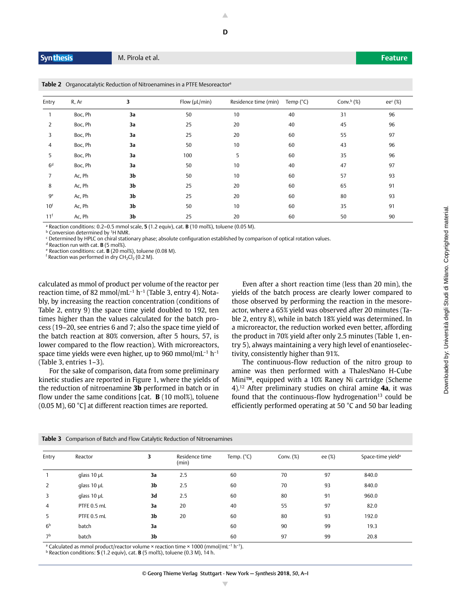**Table 2** Organocatalytic Reduction of Nitroenamines in a PTFE Mesoreactor<sup>a</sup>

| R, Ar   | 3  | Flow $(\mu L/min)$ | Residence time (min) | Temp $(^{\circ}C)$ | Conv. $b$ (%) | ee $c$ (%) |
|---------|----|--------------------|----------------------|--------------------|---------------|------------|
| Boc, Ph | 3a | 50                 | 10                   | 40                 | 31            | 96         |
| Boc, Ph | 3a | 25                 | 20                   | 40                 | 45            | 96         |
| Boc, Ph | 3a | 25                 | 20                   | 60                 | 55            | 97         |
| Boc, Ph | 3a | 50                 | 10                   | 60                 | 43            | 96         |
| Boc, Ph | 3a | 100                | 5                    | 60                 | 35            | 96         |
| Boc, Ph | 3a | 50                 | 10                   | 40                 | 47            | 97         |
| Ac, Ph  | 3b | 50                 | 10                   | 60                 | 57            | 93         |
| Ac, Ph  | 3b | 25                 | 20                   | 60                 | 65            | 91         |
| Ac, Ph  | 3b | 25                 | 20                   | 60                 | 80            | 93         |
| Ac, Ph  | 3b | 50                 | 10                   | 60                 | 35            | 91         |
| Ac, Ph  | 3b | 25                 | 20                   | 60                 | 50            | 90         |
|         |    |                    |                      |                    |               |            |

a Reaction conditions: 0.2–0.5 mmol scale, **5** (1.2 equiv), cat. **B** (10 mol%), toluene (0.05 M).

**b** Conversion determined by <sup>1</sup>H NMR.

<sup>c</sup> Determined by HPLC on chiral stationary phase; absolute configuration established by comparison of optical rotation values.

d Reaction run with cat. **B** (5 mol%).

e Reaction conditions: cat. **B** (20 mol%), toluene (0.08 M).

 $f$  Reaction was performed in dry CH<sub>2</sub>Cl<sub>2</sub> (0.2 M).

calculated as mmol of product per volume of the reactor per reaction time, of 82 mmol/mL $^{-1}$  h $^{-1}$  (Table 3, entry 4). Notably, by increasing the reaction concentration (conditions of Table 2, entry 9) the space time yield doubled to 192, ten times higher than the values calculated for the batch process (19–20, see entries 6 and 7; also the space time yield of the batch reaction at 80% conversion, after 5 hours, 57, is lower compared to the flow reaction). With microreactors, space time yields were even higher, up to 960 mmol/mL $^{-1}$  h $^{-1}$ (Table 3, entries 1–3).

For the sake of comparison, data from some preliminary kinetic studies are reported in Figure 1, where the yields of the reduction of nitroenamine **3b** performed in batch or in flow under the same conditions [cat. **B** (10 mol%), toluene (0.05 M), 60 °C] at different reaction times are reported.

**Table 3** Comparison of Batch and Flow Catalytic Reduction of Nitroenamines

Even after a short reaction time (less than 20 min), the yields of the batch process are clearly lower compared to those observed by performing the reaction in the mesoreactor, where a 65% yield was observed after 20 minutes (Table 2, entry 8), while in batch 18% yield was determined. In a microreactor, the reduction worked even better, affording the product in 70% yield after only 2.5 minutes (Table 1, entry 5), always maintaining a very high level of enantioselectivity, consistently higher than 91%.

The continuous-flow reduction of the nitro group to amine was then performed with a ThalesNano H-Cube Mini™, equipped with a 10% Raney Ni cartridge (Scheme 4).12 After preliminary studies on chiral amine **4a**, it was found that the continuous-flow hydrogenation $13$  could be efficiently performed operating at 50 °C and 50 bar leading

| Entry          | Reactor          | 3  | Residence time<br>(min) | Temp. $(^{\circ}C)$ | Conv. $(\%)$ | ee (%) | Space-time yield <sup>a</sup> |
|----------------|------------------|----|-------------------------|---------------------|--------------|--------|-------------------------------|
|                | glass $10 \mu L$ | 3a | 2.5                     | 60                  | 70           | 97     | 840.0                         |
| 2              | glass $10 \mu L$ | 3b | 2.5                     | 60                  | 70           | 93     | 840.0                         |
| 3              | glass $10 \mu L$ | 3d | 2.5                     | 60                  | 80           | 91     | 960.0                         |
| 4              | PTFE 0.5 mL      | 3a | 20                      | 40                  | 55           | 97     | 82.0                          |
| 5              | PTFE 0.5 mL      | 3b | 20                      | 60                  | 80           | 93     | 192.0                         |
| 6 <sup>b</sup> | batch            | 3a |                         | 60                  | 90           | 99     | 19.3                          |
| 7 <sup>b</sup> | batch            | 3b |                         | 60                  | 97           | 99     | 20.8                          |

<sup>a</sup> Calculated as mmol product/reactor volume  $\times$  reaction time  $\times$  1000 (mmol/mL<sup>-1</sup> h<sup>-1</sup>).

b Reaction conditions: **5** (1.2 equiv), cat. **B** (5 mol%), toluene (0.3 M), 14 h.

© Georg Thieme Verlag Stuttgart · New York — *Synthesis* **2018**, *50*, A–I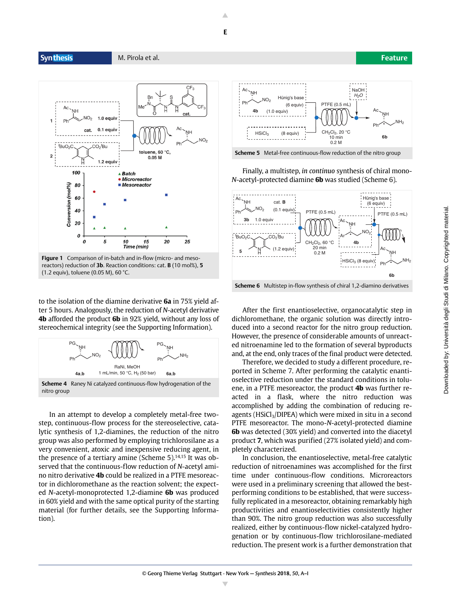# **E**

**Syn thesis** M. Pirola et al. **Feature**



**Figure 1** Comparison of in-batch and in-flow (micro- and mesoreactors) reduction of **3b**. Reaction conditions: cat. **B** (10 mol%), **5** (1.2 equiv), toluene (0.05 M), 60 °C.

to the isolation of the diamine derivative **6a** in 75% yield after 5 hours. Analogously, the reduction of *N*-acetyl derivative **4b** afforded the product **6b** in 92% yield, without any loss of stereochemical integrity (see the Supporting Information).



**Scheme 4** Raney Ni catalyzed continuous-flow hydrogenation of the nitro group

In an attempt to develop a completely metal-free twostep, continuous-flow process for the stereoselective, catalytic synthesis of 1,2-diamines, the reduction of the nitro group was also performed by employing trichlorosilane as a very convenient, atoxic and inexpensive reducing agent, in the presence of a tertiary amine (Scheme  $5$ ).<sup>14,15</sup> It was observed that the continuous-flow reduction of *N*-acetyl amino nitro derivative **4b** could be realized in a PTFE mesoreactor in dichloromethane as the reaction solvent; the expected *N*-acetyl-monoprotected 1,2-diamine **6b** was produced in 60% yield and with the same optical purity of the starting material (for further details, see the Supporting Information).



**Scheme 5** Metal-free continuous-flow reduction of the nitro group

Finally, a multistep, *in continuo* synthesis of chiral mono-*N*-acetyl-protected diamine **6b** was studied (Scheme 6).



After the first enantioselective, organocatalytic step in dichloromethane, the organic solution was directly introduced into a second reactor for the nitro group reduction. However, the presence of considerable amounts of unreacted nitroenamine led to the formation of several byproducts and, at the end, only traces of the final product were detected.

Therefore, we decided to study a different procedure, reported in Scheme 7. After performing the catalytic enantioselective reduction under the standard conditions in toluene, in a PTFE mesoreactor, the product **4b** was further reacted in a flask, where the nitro reduction was accomplished by adding the combination of reducing reagents ( $HSiCl<sub>3</sub>/DIPEA$ ) which were mixed in situ in a second PTFE mesoreactor. The mono-*N*-acetyl-protected diamine **6b** was detected (30% yield) and converted into the diacetyl product **7**, which was purified (27% isolated yield) and completely characterized.

In conclusion, the enantioselective, metal-free catalytic reduction of nitroenamines was accomplished for the first time under continuous-flow conditions. Microreactors were used in a preliminary screening that allowed the bestperforming conditions to be established, that were successfully replicated in a mesoreactor, obtaining remarkably high productivities and enantioselectivities consistently higher than 90%. The nitro group reduction was also successfully realized, either by continuous-flow nickel-catalyzed hydrogenation or by continuous-flow trichlorosilane-mediated reduction. The present work is a further demonstration that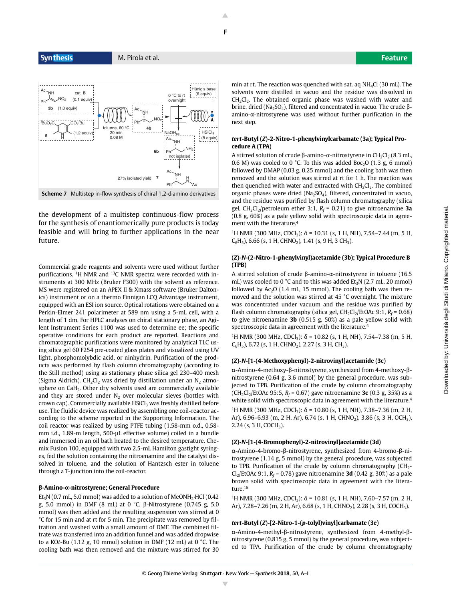

**Scheme 7** Multistep in-flow synthesis of chiral 1,2-diamino derivatives

the development of a multistep continuous-flow process for the synthesis of enantiomerically pure products is today feasible and will bring to further applications in the near future.

Commercial grade reagents and solvents were used without further purifications. 1H NMR and 13C NMR spectra were recorded with instruments at 300 MHz (Bruker F300) with the solvent as reference. MS were registered on an APEX II & Xmass software (Bruker Daltonics) instrument or on a thermo Finnigan LCQ Advantage instrument, equipped with an ESI ion source. Optical rotations were obtained on a Perkin-Elmer 241 polarimeter at 589 nm using a 5-mL cell, with a length of 1 dm. For HPLC analyses on chiral stationary phase, an Agilent Instrument Series 1100 was used to determine ee; the specific operative conditions for each product are reported. Reactions and chromatographic purifications were monitored by analytical TLC using silica gel 60 F254 pre-coated glass plates and visualized using UV light, phosphomolybdic acid, or ninhydrin. Purification of the products was performed by flash column chromatography (according to the Still method) using as stationary phase silica gel 230–400 mesh (Sigma Aldrich). CH<sub>2</sub>Cl<sub>2</sub> was dried by distillation under an  $N_2$  atmosphere on CaH<sub>2</sub>. Other dry solvents used are commercially available and they are stored under  $N_2$  over molecular sieves (bottles with crown cap). Commercially available  $HSiCl<sub>3</sub>$  was freshly distilled before use. The fluidic device was realized by assembling one coil-reactor according to the scheme reported in the Supporting Information. The coil reactor was realized by using PTFE tubing (1.58-mm o.d., 0.58 mm i.d., 1.89-m length, 500-μL effective volume) coiled in a bundle and immersed in an oil bath heated to the desired temperature. Chemix Fusion 100, equipped with two 2.5-mL Hamilton gastight syringes, fed the solution containing the nitroenamine and the catalyst dissolved in toluene, and the solution of Hantzsch ester in toluene through a T-junction into the coil-reactor.

#### **β-Amino-α-nitrostyrene; General Procedure**

 $Et<sub>3</sub>N$  (0.7 mL, 5.0 mmol) was added to a solution of MeONH<sub>2</sub>·HCl (0.42 g, 5.0 mmol) in DMF (8 mL) at 0 °C. β-Nitrostyrene (0.745 g, 5.0 mmol) was then added and the resulting suspension was stirred at 0 °C for 15 min and at rt for 5 min. The precipitate was removed by filtration and washed with a small amount of DMF. The combined filtrate was transferred into an addition funnel and was added dropwise to a KO*t*-Bu (1.12 g, 10 mmol) solution in DMF (12 mL) at 0 °C. The cooling bath was then removed and the mixture was stirred for 30 min at rt. The reaction was quenched with sat. aq  $NH_4Cl$  (30 mL). The solvents were distilled in vacuo and the residue was dissolved in  $CH<sub>2</sub>Cl<sub>2</sub>$ . The obtained organic phase was washed with water and brine, dried (Na<sub>2</sub>SO<sub>4</sub>), filtered and concentrated in vacuo. The crude βamino-α-nitrostyrene was used without further purification in the next step.

#### *tert***-Butyl (***Z***)-2-Nitro-1-phenylvinylcarbamate (3a); Typical Procedure A (TPA)**

A stirred solution of crude β-amino-α-nitrostyrene in  $CH_2Cl_2$  (8.3 mL, 0.6 M) was cooled to 0 °C. To this was added Boc<sub>2</sub>O (1.3 g, 6 mmol) followed by DMAP (0.03 g, 0.25 mmol) and the cooling bath was then removed and the solution was stirred at rt for 1 h. The reaction was then quenched with water and extracted with  $CH<sub>2</sub>Cl<sub>2</sub>$ . The combined organic phases were dried ( $Na<sub>2</sub>SO<sub>4</sub>$ ), filtered, concentrated in vacuo, and the residue was purified by flash column chromatography (silica gel, CH<sub>2</sub>Cl<sub>2</sub>/petroleum ether 3:1, *R<sub>f</sub> =* 0.21) to give nitroenamine **3a** (0.8 g, 60%) as a pale yellow solid with spectroscopic data in agreement with the literature.4

<sup>1</sup>H NMR (300 MHz, CDCl<sub>3</sub>):  $\delta$  = 10.31 (s, 1 H, NH), 7.54–7.44 (m, 5 H,  $C_6H_5$ ), 6.66 (s, 1 H, CHNO<sub>2</sub>), 1.41 (s, 9 H, 3 CH<sub>3</sub>).

#### **(***Z***)-***N***-(2-Nitro-1-phenylvinyl)acetamide (3b); Typical Procedure B (TPB)**

A stirred solution of crude β-amino-α-nitrostyrene in toluene (16.5 mL) was cooled to 0  $^{\circ}$ C and to this was added Et<sub>3</sub>N (2.7 mL, 20 mmol) followed by  $Ac_2O$  (1.4 mL, 15 mmol). The cooling bath was then removed and the solution was stirred at 45 °C overnight. The mixture was concentrated under vacuum and the residue was purified by flash column chromatography (silica gel, CH<sub>2</sub>Cl<sub>2</sub>/EtOAc 9:1, *R<sub>f</sub>* = 0.68) to give nitroenamine **3b** (0.515 g, 50%) as a pale yellow solid with spectroscopic data in agreement with the literature.4

<sup>1</sup>H NMR (300 MHz, CDCl<sub>3</sub>): δ = 10.82 (s, 1 H, NH), 7.54–7.38 (m, 5 H,  $C_6H_5$ ), 6.72 (s, 1 H, CHNO<sub>2</sub>), 2.27 (s, 3 H, CH<sub>3</sub>).

#### **(***Z***)-***N***-[1-(4-Methoxyphenyl)-2-nitrovinyl]acetamide (3c)**

α-Amino-4-methoxy-β-nitrostyrene, synthesized from 4-methoxy-βnitrostyrene (0.64 g, 3.6 mmol) by the general procedure, was subjected to TPB. Purification of the crude by column chromatography (CH<sub>2</sub>Cl<sub>2</sub>/EtOAc 95:5, *R<sub>f</sub>* = 0.67) gave nitroenamine **3c** (0.3 g, 35%) as a white solid with spectroscopic data in agreement with the literature.<sup>4</sup>

<sup>1</sup>H NMR (300 MHz, CDCl<sub>3</sub>): δ = 10.80 (s, 1 H, NH), 7.38–7.36 (m, 2 H, Ar), 6.96–6.93 (m, 2 H, Ar), 6.74 (s, 1 H, CHNO<sub>2</sub>), 3.86 (s, 3 H, OCH<sub>3</sub>),  $2.24$  (s, 3 H, COCH<sub>3</sub>).

#### **(***Z***)-***N***-[1-(4-Bromophenyl)-2-nitrovinyl]acetamide (3d)**

α-Amino-4-bromo-β-nitrostyrene, synthesized from 4-bromo-β-nitrostyrene (1.14 g, 5 mmol) by the general procedure, was subjected to TPB. Purification of the crude by column chromatography  $CH<sub>2</sub>$ -Cl<sub>2</sub>/EtOAc 9:1, *R<sub>f</sub>* = 0.78) gave nitroenamine **3d** (0.42 g, 30%) as a pale brown solid with spectroscopic data in agreement with the literature. $^{16}$ 

<sup>1</sup>H NMR (300 MHz, CDCl<sub>3</sub>): δ = 10.81 (s, 1 H, NH), 7.60–7.57 (m, 2 H, Ar), 7.28–7.26 (m, 2 H, Ar), 6.68 (s, 1 H, CHNO<sub>2</sub>), 2.28 (s, 3 H, COCH<sub>3</sub>).

#### *tert***-Butyl (***Z***)-[2-Nitro-1-(***p***-tolyl)vinyl]carbamate (3e)**

α-Amino-4-methyl-β-nitrostyrene, synthesized from 4-methyl-βnitrostyrene (0.815 g, 5 mmol) by the general procedure, was subjected to TPA. Purification of the crude by column chromatography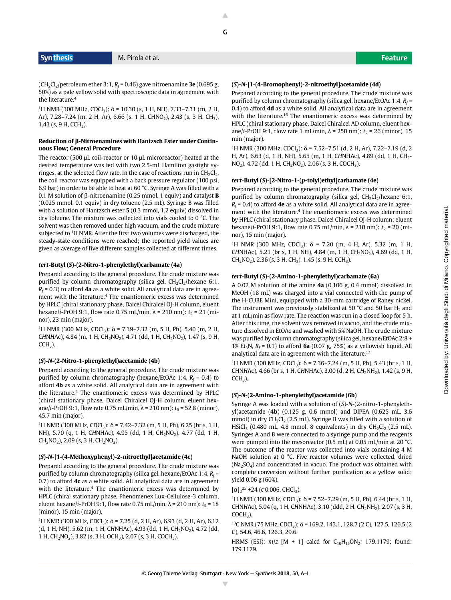(CH<sub>2</sub>Cl<sub>2</sub>/petroleum ether 3:1, *R<sub>f</sub>* = 0.46) gave nitroenamine **3e** (0.695 g, 50%) as a pale yellow solid with spectroscopic data in agreement with the literature.4

<sup>1</sup>H NMR (300 MHz, CDCl<sub>3</sub>): δ = 10.30 (s, 1 H, NH), 7.33–7.31 (m, 2 H, Ar), 7.28–7.24 (m, 2 H, Ar), 6.66 (s, 1 H, CHNO<sub>2</sub>), 2.43 (s, 3 H, CH<sub>3</sub>), 1.43 (s, 9 H, CCH<sub>3</sub>).

#### **Reduction of β-Nitroenamines with Hantzsch Ester under Continuous Flow; General Procedure**

The reactor (500 μL coil-reactor or 10 μL microreactor) heated at the desired temperature was fed with two 2.5-mL Hamilton gastight syringes, at the selected flow rate. In the case of reactions run in  $CH_2Cl_2$ , the coil reactor was equipped with a back pressure regulator (100 psi, 6.9 bar) in order to be able to heat at 60 °C. Syringe A was filled with a 0.1 M solution of β-nitroenamine (0.25 mmol, 1 equiv) and catalyst **B** (0.025 mmol, 0.1 equiv) in dry toluene (2.5 mL). Syringe B was filled with a solution of Hantzsch ester **5** (0.3 mmol, 1.2 equiv) dissolved in dry toluene. The mixture was collected into vials cooled to 0 °C. The solvent was then removed under high vacuum, and the crude mixture subjected to <sup>1</sup>H NMR. After the first two volumes were discharged, the steady-state conditions were reached; the reported yield values are given as average of five different samples collected at different times.

#### *tert***-Butyl (***S***)-(2-Nitro-1-phenylethyl)carbamate (4a)**

Prepared according to the general procedure. The crude mixture was purified by column chromatography (silica gel,  $CH_2Cl_2/h$ exane 6:1, *Rf* = 0.3) to afford **4a** as a white solid. All analytical data are in agreement with the literature.4 The enantiomeric excess was determined by HPLC [chiral stationary phase, Daicel Chiralcel OJ-H column, eluent hexane/*i*-PrOH 9:1, flow rate 0.75 mL/min,  $λ = 210$  nm):  $t<sub>R</sub> = 21$  (minor), 23 min (major).

<sup>1</sup>H NMR (300 MHz, CDCl<sub>3</sub>): δ = 7.39–7.32 (m, 5 H, Ph), 5.40 (m, 2 H, CHNHAc), 4.84 (m, 1 H, CH<sub>2</sub>NO<sub>2</sub>), 4.71 (dd, 1 H, CH<sub>2</sub>NO<sub>2</sub>), 1.47 (s, 9 H,  $CCH<sub>3</sub>$ ).

#### **(***S***)-***N***-(2-Nitro-1-phenylethyl)acetamide (4b)**

Prepared according to the general procedure. The crude mixture was purified by column chromatography (hexane/EtOAc 1:4, *R<sub>f</sub>* = 0.4) to afford **4b** as a white solid. All analytical data are in agreement with the literature.4 The enantiomeric excess was determined by HPLC (chiral stationary phase, Daicel Chiralcel OJ-H column, eluent hexane/*i*-PrOH 9:1, flow rate 0.75 mL/min,  $\lambda$  = 210 nm):  $t_R$  = 52.8 (minor), 45.7 min (major).

<sup>1</sup>H NMR (300 MHz, CDCl<sub>3</sub>): δ = 7.42–7.32 (m, 5 H, Ph), 6.25 (br s, 1 H, NH), 5.70 (q, 1 H, CHNHAc), 4.95 (dd, 1 H, CH<sub>2</sub>NO<sub>2</sub>), 4.77 (dd, 1 H,  $CH<sub>2</sub>NO<sub>2</sub>$ ), 2.09 (s, 3 H,  $CH<sub>2</sub>NO<sub>2</sub>$ ).

#### **(***S***)-***N***-[1-(4-Methoxyphenyl)-2-nitroethyl]acetamide (4c)**

Prepared according to the general procedure. The crude mixture was purified by column chromatography (silica gel, hexane/EtOAc 1:4, *R<sub>f</sub>* = 0.7) to afford **4c** as a white solid. All analytical data are in agreement with the literature.<sup>4</sup> The enantiomeric excess was determined by HPLC (chiral stationary phase, Phenomenex Lux-Cellulose-3 column, eluent hexane/*i*-PrOH 9:1, flow rate 0.75 mL/min,  $\lambda$  = 210 nm):  $t_R$  = 18 (minor), 15 min (major).

<sup>1</sup>H NMR (300 MHz, CDCl<sub>3</sub>): δ = 7.25 (d, 2 H, Ar), 6.93 (d, 2 H, Ar), 6.12 (d, 1 H, NH), 5.62 (m, 1 H, CHNHAc), 4.93 (dd, 1 H, CH<sub>2</sub>NO<sub>2</sub>), 4.72 (dd, 1 H, CH<sub>2</sub>NO<sub>2</sub>), 3.82 (s, 3 H, OCH<sub>3</sub>), 2.07 (s, 3 H, COCH<sub>3</sub>).

#### **(***S***)-***N***-[1-(4-Bromophenyl)-2-nitroethyl]acetamide (4d)**

Prepared according to the general procedure. The crude mixture was purified by column chromatography (silica gel, hexane/EtOAc 1:4, *R<sub>f</sub>* = 0.4) to afford **4d** as a white solid. All analytical data are in agreement with the literature.16 The enantiomeric excess was determined by HPLC (chiral stationary phase, Daicel Chiralcel AD column, eluent hexane/*i*-PrOH 9:1, flow rate 1 mL/min,  $\lambda$  = 250 nm):  $t_R$  = 26 (minor), 15 min (major).

<sup>1</sup>H NMR (300 MHz, CDCl<sub>3</sub>): δ = 7.52–7.51 (d, 2 H, Ar), 7.22–7.19 (d, 2 H, Ar), 6.63 (d, 1 H, NH), 5.65 (m, 1 H, CHNHAc), 4.89 (dd, 1 H, CH<sub>2</sub>- $NO<sub>2</sub>$ ), 4.72 (dd, 1 H, CH<sub>2</sub>NO<sub>2</sub>), 2.06 (s, 3 H, COCH<sub>3</sub>).

#### *tert***-Butyl (***S***)-[2-Nitro-1-(***p***-tolyl)ethyl]carbamate (4e)**

Prepared according to the general procedure. The crude mixture was purified by column chromatography (silica gel,  $CH_2Cl_2/h$ exane 6:1, *Rf* = 0.4) to afford **4e** as a white solid. All analytical data are in agreement with the literature.4 The enantiomeric excess was determined by HPLC (chiral stationary phase, Daicel Chiralcel OJ-H column: eluent hexane/*i*-PrOH 9:1, flow rate 0.75 mL/min,  $λ = 210$  nm):  $t<sub>R</sub> = 20$  (minor), 15 min (major).

<sup>1</sup>H NMR (300 MHz, CDCl<sub>3</sub>): δ = 7.20 (m, 4 H, Ar), 5.32 (m, 1 H, CHNHAc), 5.21 (br s, 1 H, NH), 4.84 (m, 1 H, CH<sub>2</sub>NO<sub>2</sub>), 4.69 (dd, 1 H,  $CH<sub>2</sub>NO<sub>2</sub>$ ), 2.36 (s, 3 H, CH<sub>3</sub>), 1.45 (s, 9 H, CCH<sub>3</sub>).

#### *tert***-Butyl (***S***)-(2-Amino-1-phenylethyl)carbamate (6a)**

A 0.02 M solution of the amine **4a** (0.106 g, 0.4 mmol) dissolved in MeOH (18 mL) was charged into a vial connected with the pump of the H-CUBE Mini, equipped with a 30-mm cartridge of Raney nickel. The instrument was previously stabilized at 50  $^{\circ}$ C and 50 bar H<sub>2</sub> and at 1 mL/min as flow rate. The reaction was run in a closed loop for 5 h. After this time, the solvent was removed in vacuo, and the crude mixture dissolved in EtOAc and washed with 5% NaOH. The crude mixture was purified by column chromatography (silica gel, hexane/EtOAc 2:8 + 1% Et<sub>3</sub>N,  $R_f$  = 0.1) to afford **6a** (0.07 g, 75%) as a yellowish liquid. All analytical data are in agreement with the literature.17

<sup>1</sup>H NMR (300 MHz, CDCl<sub>3</sub>): δ = 7.36–7.24 (m, 5 H, Ph), 5.43 (br s, 1 H, CHN*H*Ac), 4.66 (br s, 1 H, C*H*NHAc), 3.00 (d, 2 H, C*H*2NH2), 1.42 (s, 9 H,  $CCH<sub>3</sub>$ ).

#### **(***S***)-***N***-(2-Amino-1-phenylethyl)acetamide (6b)**

Syringe A was loaded with a solution of (*S*)-*N*-(2-nitro-1-phenylethyl)acetamide (**4b**) (0.125 g, 0.6 mmol) and DIPEA (0.625 mL, 3.6 mmol) in dry  $CH_2Cl_2$  (2.5 mL). Syringe B was filled with a solution of HSiCl<sub>3</sub> (0.480 mL, 4.8 mmol, 8 equivalents) in dry CH<sub>2</sub>Cl<sub>2</sub> (2.5 mL). Syringes A and B were connected to a syringe pump and the reagents were pumped into the mesoreactor (0.5 mL) at 0.05 mL/min at 20 °C. The outcome of the reactor was collected into vials containing 4 M NaOH solution at 0 °C. Five reactor volumes were collected, dried  $(Na<sub>2</sub>SO<sub>4</sub>)$  and concentrated in vacuo. The product was obtained with complete conversion without further purification as a yellow solid; yield 0.06 g (60%).

$$
[\alpha]_D^{25}
$$
 +24 (c 0.006, CHCl<sub>3</sub>).

<sup>1</sup>H NMR (300 MHz, CDCl<sub>3</sub>): δ = 7.52–7.29 (m, 5 H, Ph), 6.44 (br s, 1 H, CHN*H*Ac), 5.04 (q, 1 H, C*H*NHAc), 3.10 (ddd, 2 H, C*H*2NH2), 2.07 (s, 3 H,  $COCH<sub>3</sub>$ ).

<sup>13</sup>C NMR (75 MHz, CDCl<sub>3</sub>): δ = 169.2, 143.1, 128.7 (2 C), 127.5, 126.5 (2 C), 54.6, 46.6, 126.3, 29.6.

HRMS (ESI):  $m/z$  [M + 1] calcd for  $C_{10}H_{15}ON_2$ : 179.1179; found: 179.1179.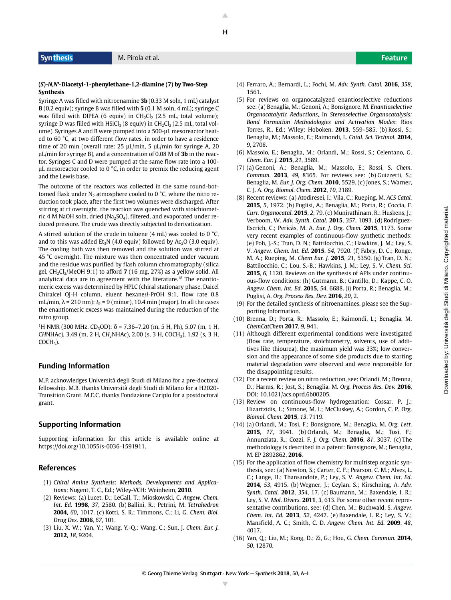**H**

#### **Syn thesis** M. Pirola et al. **Feature**

#### **(***S***)-***N***,***N***′-Diacetyl-1-phenylethane-1,2-diamine (7) by Two-Step Synthesis**

Syringe A was filled with nitroenamine **3b** (0.33 M soln, 1 mL) catalyst **B** (0.2 equiv); syringe B was filled with **5** (0.1 M soln, 4 mL); syringe C was filled with DIPEA (6 equiv) in  $CH_2Cl_2$  (2.5 mL, total volume); syringe D was filled with  $HSiCl<sub>3</sub>$  (8 equiv) in  $CH<sub>2</sub>Cl<sub>2</sub>$  (2.5 mL, total volume). Syringes A and B were pumped into a 500-μL mesoreactor heated to 60 °C, at two different flow rates, in order to have a residence time of 20 min (overall rate: 25 μL/min, 5 μL/min for syringe A, 20 μL/min for syringe B), and a concentration of 0.08 M of **3b** in the reactor. Syringes C and D were pumped at the same flow rate into a 100 μL mesoreactor cooled to 0 °C, in order to premix the reducing agent and the Lewis base.

The outcome of the reactors was collected in the same round-bottomed flask under  $N_2$  atmosphere cooled to 0 °C, where the nitro reduction took place, after the first two volumes were discharged. After stirring at rt overnight, the reaction was quenched with stoichiometric 4 M NaOH soln, dried (Na<sub>2</sub>SO<sub>4</sub>), filtered, and evaporated under reduced pressure. The crude was directly subjected to derivatization.

A stirred solution of the crude in toluene (4 mL) was cooled to 0 °C, and to this was added  $Et_3N$  (4.0 equiv) followed by Ac<sub>2</sub>O (3.0 equiv). The cooling bath was then removed and the solution was stirred at 45 °C overnight. The mixture was then concentrated under vacuum and the residue was purified by flash column chromatography (silica gel,  $CH_2Cl_2/MeOH$  9:1) to afford **7** (16 mg, 27%) as a yellow solid. All analytical data are in agreement with the literature.<sup>18</sup> The enantiomeric excess was determined by HPLC (chiral stationary phase, Daicel Chiralcel OJ-H column, eluent hexane/*i*-PrOH 9:1, flow rate 0.8 mL/min,  $\lambda$  = 210 nm):  $t_R$  = 9 (minor), 10.4 min (major). In all the cases the enantiomeric excess was maintained during the reduction of the nitro group.

<sup>1</sup>H NMR (300 MHz, CD<sub>3</sub>OD): δ = 7.36–7.20 (m, 5 H, Ph), 5.07 (m, 1 H, C*H*NHAc), 3.49 (m, 2 H, C*H*2NHAc), 2.00 (s, 3 H, COCH3), 1.92 (s, 3 H,  $COCH<sub>3</sub>$ ).

### **Funding Information**

M.P. acknowledges Università degli Studi di Milano for a pre-doctoral fellowship. M.B. thanks Università degli Studi di Milano for a H2020- Transition Grant. M.E.C. thanks Fondazione Cariplo for a postdoctoral grant. ) when the contract of the contract of the contract of the contract of the contract of the contract of the contract of the contract of the contract of the contract of the contract of the contract of the contract of

#### **Supporting Information**

Supporting information for this article is available online at https://doi.org/10.1055/s-0036-1591911.

### **References**

- (1) *Chiral Amine Synthesis: Methods, Developments and Applications*; Nugent, T. C., Ed.; Wiley-VCH: Weinheim, **2010**.
- (2) Reviews: (a) Lucet, D.; LeGall, T.; Mioskowski, C. *Angew. Chem. Int. Ed.* **1998**, *37*, 2580. (b) Ballini, R.; Petrini, M. *Tetrahedron* **2004**, *60*, 1017. (c) Kotti, S. R.; Timmons, C.; Li, G. *Chem. Biol. Drug Des.* **2006**, *67*, 101.
- (3) Liu, X. W.; Yan, Y.; Wang, Y.-Q.; Wang, C.; Sun, J. *Chem. Eur. J.* **2012**, *18*, 9204.

Downloaded by: Università degli Studi di Milano. Copyrighted material. Downloaded by: Università degli Studi di Milano. Copyrighted material.

- (4) Ferraro, A.; Bernardi, L.; Fochi, M. *Adv. Synth. Catal.* **2016**, *358*, 1561.
- (5) For reviews on organocatalyzed enantioselective reductions see: (a) Benaglia, M.; Genoni, A.; Bonsignore, M. *Enantioselective Organocatalytic Reductions*, In *Stereoselective Organocatalysis: Bond Formation Methodologies and Activation Modes*; Rios Torres, R., Ed.; Wiley: Hoboken, **2013**, 559–585. (b) Rossi, S.; Benaglia, M.; Massolo, E.; Raimondi, L. *Catal. Sci. Technol.* **2014**, *9*, 2708.
- (6) Massolo, E.; Benaglia, M.; Orlandi, M.; Rossi, S.; Celentano, G. *Chem. Eur. J.* **2015**, *21*, 3589.
- (7) (a) Genoni, A.; Benaglia, M.; Massolo, E.; Rossi, S. *Chem. Commun.* **2013**, *49*, 8365. For reviews see: (b) Guizzetti, S.; Benaglia, M. *Eur. J. Org. Chem.* **2010**, 5529. (c) Jones, S.; Warner, C. J. A. *Org. Biomol. Chem.* **2012**, *10*, 2189.
- (8) Recent reviews: (a) Atodiresei, I.; Vila, C.; Rueping, M. *ACS Catal.* **2015**, *5*, 1972. (b) Puglisi, A.; Benaglia, M.; Porta, R.; Coccia, F. *Curr. Organocatal.* **2015**, *2*, 79. (c) Munirathinam, R.; Huskens, J.; Verboom, W. *Adv. Synth. Catal.* **2015**, *357*, 1093. (d) Rodríguez-Escrich, C.; Pericàs, M. A. *Eur. J. Org. Chem.* **2015**, 1173. Some very recent examples of continuous-flow synthetic methods: (e) Poh, J.-S.; Tran, D. N.; Battilocchio, C.; Hawkins, J. M.; Ley, S. V. *Angew. Chem. Int. Ed.* **2015**, *54*, 7920. (f) Fabry, D. C.; Ronge, M. A.; Rueping, M. *Chem Eur. J.* **2015**, *21*, 5350. (g) Tran, D. N.; Battilocchio, C.; Lou, S.-B.; Hawkins, J. M.; Ley, S. V. *Chem. Sci.* **2015**, *6*, 1120. Reviews on the synthesis of APIs under continuous-flow conditions: (h) Gutmann, B.; Cantillo, D.; Kappe, C. O. *Angew. Chem. Int. Ed.* **2015**, *54*, 6688. (i) Porta, R.; Benaglia, M.; Puglisi, A. *Org. Process Res. Dev.* **2016**, *20*, 2.
- (9) For the detailed synthesis of nitroenamines, please see the Supporting Information.
- (10) Brenna, D.; Porta, R.; Massolo, E.; Raimondi, L.; Benaglia, M. *ChemCatChem* **2017**, *9*, 941.
- (11) Although different experimental conditions were investigated (flow rate, temperature, stoichiometry, solvents, use of additives like thiourea), the maximum yield was 33%; low conversion and the appearance of some side products due to starting material degradation were observed and were responsible for the disappointing results.
- (12) For a recent review on nitro reduction, see: Orlandi, M.; Brenna, D.; Harms, R.; Jost, S.; Benaglia, M. *Org. Process Res. Dev.* **2016**, DOI: 10.1021/acs.oprd.6b00205.
- (13) Review on continuous-flow hydrogenation: Cossar, P. J.; Hizartzidis, L.; Simone, M. I.; McCluskey, A.; Gordon, C. P. *Org. Biomol. Chem.* **2015**, *13*, 7119.
- (14) (a) Orlandi, M.; Tosi, F.; Bonsignore, M.; Benaglia, M. *Org. Lett.* **2015**, *17*, 3941. (b) Orlandi, M.; Benaglia, M.; Tosi, F.; Annunziata, R.; Cozzi, F. *J. Org. Chem.* **2016**, *81*, 3037. (c) The methodology is described in a patent: Bonsignore, M.; Benaglia, M. EP 2892862, **2016**.
- (15) For the application of flow chemistry for multistep organic synthesis, see: (a) Newton, S.; Carter, C. F.; Pearson, C. M.; Alves, L. C.; Lange, H.; Thansandote, P.; Ley, S. V. *Angew. Chem. Int. Ed.* **2014**, *53*, 4915. (b) Wegner, J.; Ceylan, S.; Kirschning, A. *Adv. Synth. Catal.* **2012**, *354*, 17. (c) Baumann, M.; Baxendale, I. R.; Ley, S. V. *Mol. Divers.* **2011**, *3*, 613. For some other recent representative contributions, see: (d) Chen, M.; Buchwald, S. *Angew. Chem. Int. Ed.* **2013**, *52*, 4247. (e) Baxendale, I. R.; Ley, S. V.; Mansfield, A. C.; Smith, C. D. *Angew. Chem. Int. Ed.* **2009**, *48*, 4017.
- (16) Yan, Q.; Liu, M.; Kong, D.; Zi, G.; Hou, G. *Chem. Commun.* **2014**, *50*, 12870.